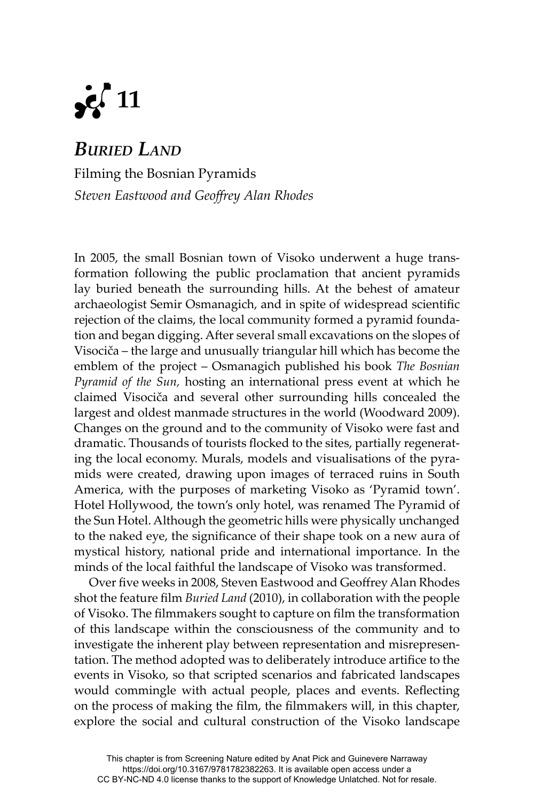## •**<sup>11</sup>**

## *Buried Land* Filming the Bosnian Pyramids *Steven Eastwood and Geoffrey Alan Rhodes*

In 2005, the small Bosnian town of Visoko underwent a huge transformation following the public proclamation that ancient pyramids lay buried beneath the surrounding hills. At the behest of amateur archaeologist Semir Osmanagich, and in spite of widespread scientific rejection of the claims, the local community formed a pyramid foundation and began digging. After several small excavations on the slopes of Visociča – the large and unusually triangular hill which has become the emblem of the project – Osmanagich published his book *The Bosnian Pyramid of the Sun,* hosting an international press event at which he claimed Visociča and several other surrounding hills concealed the largest and oldest manmade structures in the world (Woodward 2009). Changes on the ground and to the community of Visoko were fast and dramatic. Thousands of tourists flocked to the sites, partially regenerating the local economy. Murals, models and visualisations of the pyramids were created, drawing upon images of terraced ruins in South America, with the purposes of marketing Visoko as 'Pyramid town'. Hotel Hollywood, the town's only hotel, was renamed The Pyramid of the Sun Hotel. Although the geometric hills were physically unchanged to the naked eye, the significance of their shape took on a new aura of mystical history, national pride and international importance. In the minds of the local faithful the landscape of Visoko was transformed.

Over five weeks in 2008, Steven Eastwood and Geoffrey Alan Rhodes shot the feature film *Buried Land* (2010), in collaboration with the people of Visoko. The filmmakers sought to capture on film the transformation of this landscape within the consciousness of the community and to investigate the inherent play between representation and misrepresentation. The method adopted was to deliberately introduce artifice to the events in Visoko, so that scripted scenarios and fabricated landscapes would commingle with actual people, places and events. Reflecting on the process of making the film, the filmmakers will, in this chapter, explore the social and cultural construction of the Visoko landscape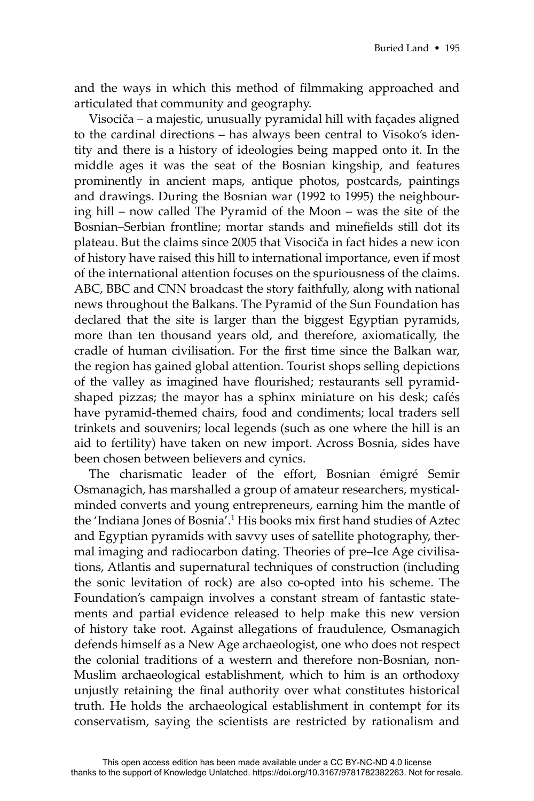and the ways in which this method of filmmaking approached and articulated that community and geography.

Visociča – a majestic, unusually pyramidal hill with façades aligned to the cardinal directions – has always been central to Visoko's identity and there is a history of ideologies being mapped onto it. In the middle ages it was the seat of the Bosnian kingship, and features prominently in ancient maps, antique photos, postcards, paintings and drawings. During the Bosnian war (1992 to 1995) the neighbouring hill – now called The Pyramid of the Moon – was the site of the Bosnian–Serbian frontline; mortar stands and minefields still dot its plateau. But the claims since 2005 that Visociča in fact hides a new icon of history have raised this hill to international importance, even if most of the international attention focuses on the spuriousness of the claims. ABC, BBC and CNN broadcast the story faithfully, along with national news throughout the Balkans. The Pyramid of the Sun Foundation has declared that the site is larger than the biggest Egyptian pyramids, more than ten thousand years old, and therefore, axiomatically, the cradle of human civilisation. For the first time since the Balkan war, the region has gained global attention. Tourist shops selling depictions of the valley as imagined have flourished; restaurants sell pyramidshaped pizzas; the mayor has a sphinx miniature on his desk; cafés have pyramid-themed chairs, food and condiments; local traders sell trinkets and souvenirs; local legends (such as one where the hill is an aid to fertility) have taken on new import. Across Bosnia, sides have been chosen between believers and cynics.

The charismatic leader of the effort, Bosnian émigré Semir Osmanagich, has marshalled a group of amateur researchers, mysticalminded converts and young entrepreneurs, earning him the mantle of the 'Indiana Jones of Bosnia'.<sup>1</sup> His books mix first hand studies of Aztec and Egyptian pyramids with savvy uses of satellite photography, thermal imaging and radiocarbon dating. Theories of pre–Ice Age civilisations, Atlantis and supernatural techniques of construction (including the sonic levitation of rock) are also co-opted into his scheme. The Foundation's campaign involves a constant stream of fantastic statements and partial evidence released to help make this new version of history take root. Against allegations of fraudulence, Osmanagich defends himself as a New Age archaeologist, one who does not respect the colonial traditions of a western and therefore non-Bosnian, non-Muslim archaeological establishment, which to him is an orthodoxy unjustly retaining the final authority over what constitutes historical truth. He holds the archaeological establishment in contempt for its conservatism, saying the scientists are restricted by rationalism and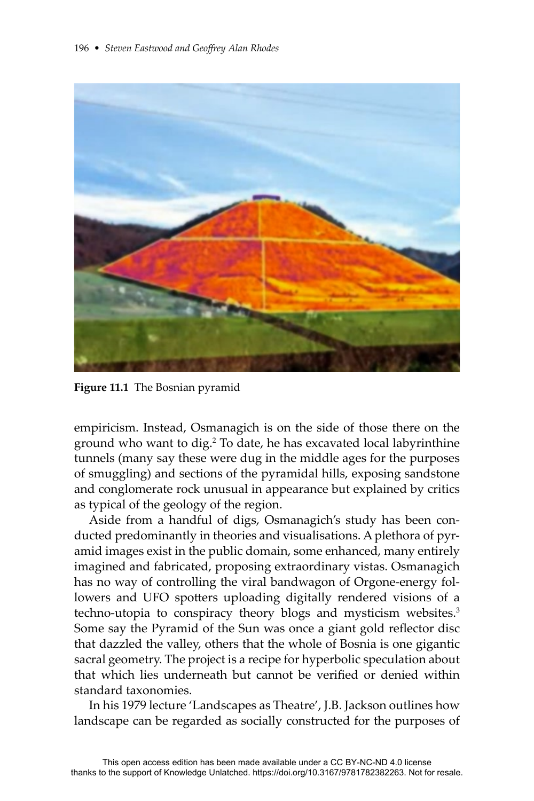

**Figure 11.1** The Bosnian pyramid

empiricism. Instead, Osmanagich is on the side of those there on the ground who want to dig.2 To date, he has excavated local labyrinthine tunnels (many say these were dug in the middle ages for the purposes of smuggling) and sections of the pyramidal hills, exposing sandstone and conglomerate rock unusual in appearance but explained by critics as typical of the geology of the region.

Aside from a handful of digs, Osmanagich's study has been conducted predominantly in theories and visualisations. A plethora of pyramid images exist in the public domain, some enhanced, many entirely imagined and fabricated, proposing extraordinary vistas. Osmanagich has no way of controlling the viral bandwagon of Orgone-energy followers and UFO spotters uploading digitally rendered visions of a techno-utopia to conspiracy theory blogs and mysticism websites.<sup>3</sup> Some say the Pyramid of the Sun was once a giant gold reflector disc that dazzled the valley, others that the whole of Bosnia is one gigantic sacral geometry. The project is a recipe for hyperbolic speculation about that which lies underneath but cannot be verified or denied within standard taxonomies.

In his 1979 lecture 'Landscapes as Theatre', J.B. Jackson outlines how landscape can be regarded as socially constructed for the purposes of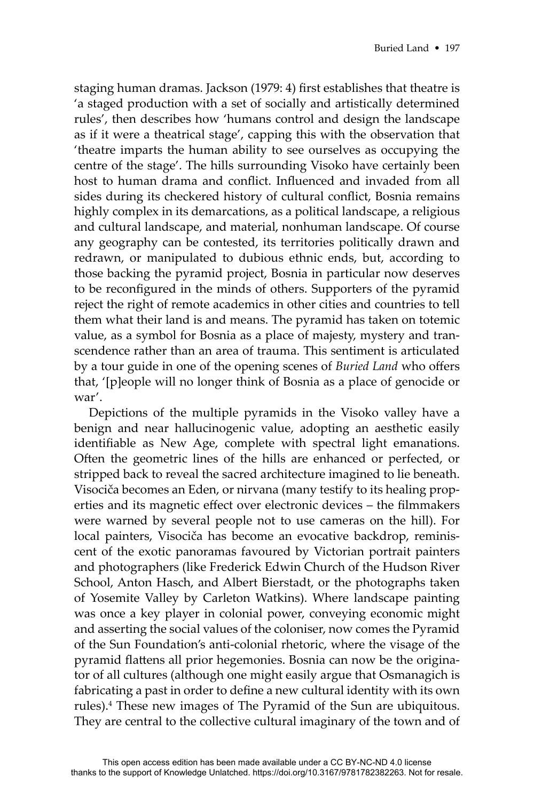staging human dramas. Jackson (1979: 4) first establishes that theatre is 'a staged production with a set of socially and artistically determined rules', then describes how 'humans control and design the landscape as if it were a theatrical stage', capping this with the observation that 'theatre imparts the human ability to see ourselves as occupying the centre of the stage'. The hills surrounding Visoko have certainly been host to human drama and conflict. Influenced and invaded from all sides during its checkered history of cultural conflict, Bosnia remains highly complex in its demarcations, as a political landscape, a religious and cultural landscape, and material, nonhuman landscape. Of course any geography can be contested, its territories politically drawn and redrawn, or manipulated to dubious ethnic ends, but, according to those backing the pyramid project, Bosnia in particular now deserves to be reconfigured in the minds of others. Supporters of the pyramid reject the right of remote academics in other cities and countries to tell them what their land is and means. The pyramid has taken on totemic value, as a symbol for Bosnia as a place of majesty, mystery and transcendence rather than an area of trauma. This sentiment is articulated by a tour guide in one of the opening scenes of *Buried Land* who offers that, '[p]eople will no longer think of Bosnia as a place of genocide or war'.

Depictions of the multiple pyramids in the Visoko valley have a benign and near hallucinogenic value, adopting an aesthetic easily identifiable as New Age, complete with spectral light emanations. Often the geometric lines of the hills are enhanced or perfected, or stripped back to reveal the sacred architecture imagined to lie beneath. Visociča becomes an Eden, or nirvana (many testify to its healing properties and its magnetic effect over electronic devices – the filmmakers were warned by several people not to use cameras on the hill). For local painters, Visociča has become an evocative backdrop, reminiscent of the exotic panoramas favoured by Victorian portrait painters and photographers (like Frederick Edwin Church of the Hudson River School, Anton Hasch, and Albert Bierstadt, or the photographs taken of Yosemite Valley by Carleton Watkins). Where landscape painting was once a key player in colonial power, conveying economic might and asserting the social values of the coloniser, now comes the Pyramid of the Sun Foundation's anti-colonial rhetoric, where the visage of the pyramid flattens all prior hegemonies. Bosnia can now be the originator of all cultures (although one might easily argue that Osmanagich is fabricating a past in order to define a new cultural identity with its own rules).<sup>4</sup> These new images of The Pyramid of the Sun are ubiquitous. They are central to the collective cultural imaginary of the town and of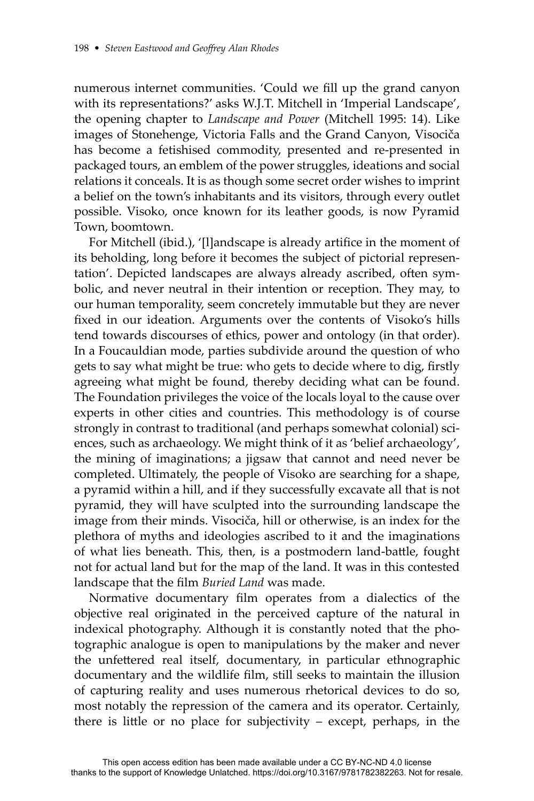numerous internet communities. 'Could we fill up the grand canyon with its representations?' asks W.J.T. Mitchell in 'Imperial Landscape', the opening chapter to *Landscape and Power* (Mitchell 1995: 14). Like images of Stonehenge, Victoria Falls and the Grand Canyon, Visociča has become a fetishised commodity, presented and re-presented in packaged tours, an emblem of the power struggles, ideations and social relations it conceals. It is as though some secret order wishes to imprint a belief on the town's inhabitants and its visitors, through every outlet possible. Visoko, once known for its leather goods, is now Pyramid Town, boomtown.

For Mitchell (ibid.), '[l]andscape is already artifice in the moment of its beholding, long before it becomes the subject of pictorial representation'. Depicted landscapes are always already ascribed, often symbolic, and never neutral in their intention or reception. They may, to our human temporality, seem concretely immutable but they are never fixed in our ideation. Arguments over the contents of Visoko's hills tend towards discourses of ethics, power and ontology (in that order). In a Foucauldian mode, parties subdivide around the question of who gets to say what might be true: who gets to decide where to dig, firstly agreeing what might be found, thereby deciding what can be found. The Foundation privileges the voice of the locals loyal to the cause over experts in other cities and countries. This methodology is of course strongly in contrast to traditional (and perhaps somewhat colonial) sciences, such as archaeology. We might think of it as 'belief archaeology', the mining of imaginations; a jigsaw that cannot and need never be completed. Ultimately, the people of Visoko are searching for a shape, a pyramid within a hill, and if they successfully excavate all that is not pyramid, they will have sculpted into the surrounding landscape the image from their minds. Visociča, hill or otherwise, is an index for the plethora of myths and ideologies ascribed to it and the imaginations of what lies beneath. This, then, is a postmodern land-battle, fought not for actual land but for the map of the land. It was in this contested landscape that the film *Buried Land* was made.

Normative documentary film operates from a dialectics of the objective real originated in the perceived capture of the natural in indexical photography. Although it is constantly noted that the photographic analogue is open to manipulations by the maker and never the unfettered real itself, documentary, in particular ethnographic documentary and the wildlife film, still seeks to maintain the illusion of capturing reality and uses numerous rhetorical devices to do so, most notably the repression of the camera and its operator. Certainly, there is little or no place for subjectivity – except, perhaps, in the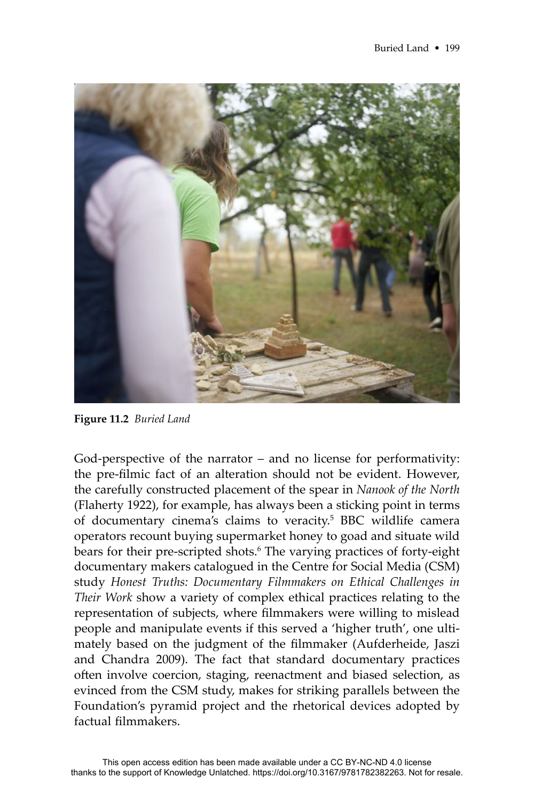

**Figure 11.2** *Buried Land*

God-perspective of the narrator – and no license for performativity: the pre-filmic fact of an alteration should not be evident. However, the carefully constructed placement of the spear in *Nanook of the North* (Flaherty 1922), for example, has always been a sticking point in terms of documentary cinema's claims to veracity.5 BBC wildlife camera operators recount buying supermarket honey to goad and situate wild bears for their pre-scripted shots.<sup>6</sup> The varying practices of forty-eight documentary makers catalogued in the Centre for Social Media (CSM) study *Honest Truths: Documentary Filmmakers on Ethical Challenges in Their Work* show a variety of complex ethical practices relating to the representation of subjects, where filmmakers were willing to mislead people and manipulate events if this served a 'higher truth', one ultimately based on the judgment of the filmmaker (Aufderheide, Jaszi and Chandra 2009). The fact that standard documentary practices often involve coercion, staging, reenactment and biased selection, as evinced from the CSM study, makes for striking parallels between the Foundation's pyramid project and the rhetorical devices adopted by factual filmmakers.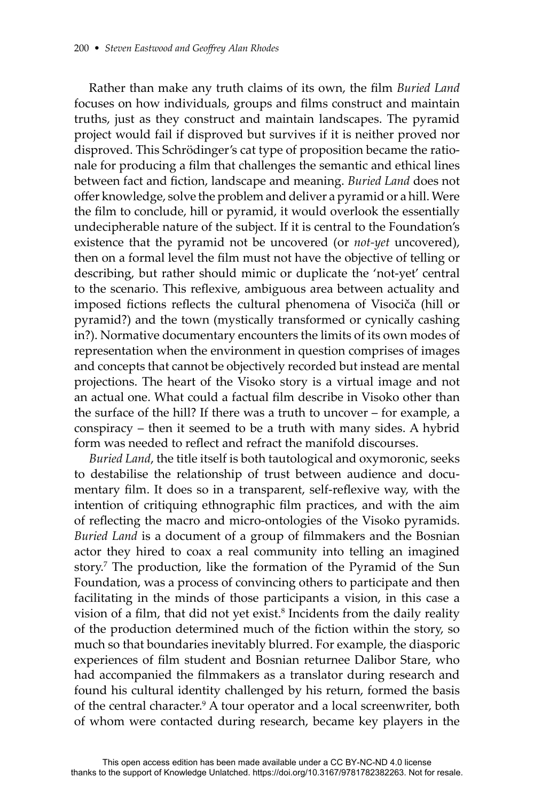Rather than make any truth claims of its own, the film *Buried Land* focuses on how individuals, groups and films construct and maintain truths, just as they construct and maintain landscapes. The pyramid project would fail if disproved but survives if it is neither proved nor disproved. This Schrödinger's cat type of proposition became the rationale for producing a film that challenges the semantic and ethical lines between fact and fiction, landscape and meaning. *Buried Land* does not offer knowledge, solve the problem and deliver a pyramid or a hill. Were the film to conclude, hill or pyramid, it would overlook the essentially undecipherable nature of the subject. If it is central to the Foundation's existence that the pyramid not be uncovered (or *not-yet* uncovered), then on a formal level the film must not have the objective of telling or describing, but rather should mimic or duplicate the 'not-yet' central to the scenario. This reflexive, ambiguous area between actuality and imposed fictions reflects the cultural phenomena of Visociča (hill or pyramid?) and the town (mystically transformed or cynically cashing in?). Normative documentary encounters the limits of its own modes of representation when the environment in question comprises of images and concepts that cannot be objectively recorded but instead are mental projections. The heart of the Visoko story is a virtual image and not an actual one. What could a factual film describe in Visoko other than the surface of the hill? If there was a truth to uncover – for example, a conspiracy – then it seemed to be a truth with many sides. A hybrid form was needed to reflect and refract the manifold discourses.

*Buried Land*, the title itself is both tautological and oxymoronic, seeks to destabilise the relationship of trust between audience and documentary film. It does so in a transparent, self-reflexive way, with the intention of critiquing ethnographic film practices, and with the aim of reflecting the macro and micro-ontologies of the Visoko pyramids. *Buried Land* is a document of a group of filmmakers and the Bosnian actor they hired to coax a real community into telling an imagined story.<sup>7</sup> The production, like the formation of the Pyramid of the Sun Foundation, was a process of convincing others to participate and then facilitating in the minds of those participants a vision, in this case a vision of a film, that did not yet exist. $8$  Incidents from the daily reality of the production determined much of the fiction within the story, so much so that boundaries inevitably blurred. For example, the diasporic experiences of film student and Bosnian returnee Dalibor Stare, who had accompanied the filmmakers as a translator during research and found his cultural identity challenged by his return, formed the basis of the central character.<sup>9</sup> A tour operator and a local screenwriter, both of whom were contacted during research, became key players in the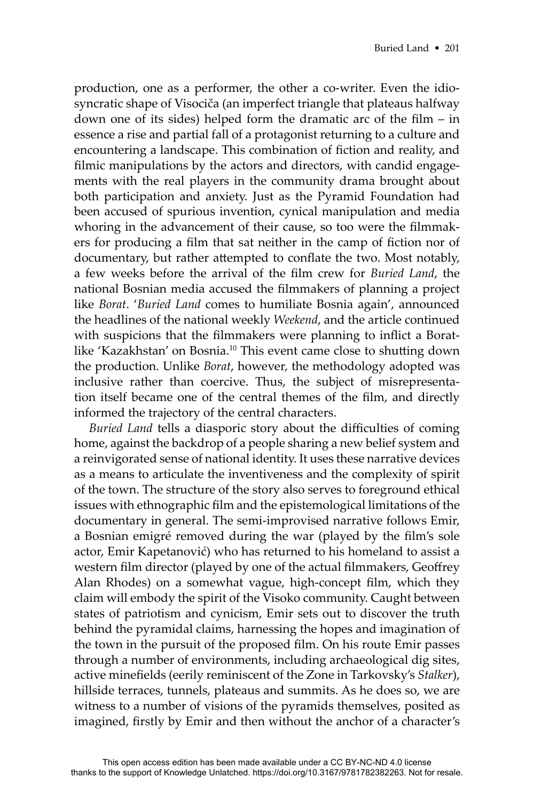production, one as a performer, the other a co-writer. Even the idiosyncratic shape of Visociča (an imperfect triangle that plateaus halfway down one of its sides) helped form the dramatic arc of the film – in essence a rise and partial fall of a protagonist returning to a culture and encountering a landscape. This combination of fiction and reality, and filmic manipulations by the actors and directors, with candid engagements with the real players in the community drama brought about both participation and anxiety. Just as the Pyramid Foundation had been accused of spurious invention, cynical manipulation and media whoring in the advancement of their cause, so too were the filmmakers for producing a film that sat neither in the camp of fiction nor of documentary, but rather attempted to conflate the two. Most notably, a few weeks before the arrival of the film crew for *Buried Land*, the national Bosnian media accused the filmmakers of planning a project like *Borat*. '*Buried Land* comes to humiliate Bosnia again', announced the headlines of the national weekly *Weekend*, and the article continued with suspicions that the filmmakers were planning to inflict a Boratlike 'Kazakhstan' on Bosnia.<sup>10</sup> This event came close to shutting down the production. Unlike *Borat*, however, the methodology adopted was inclusive rather than coercive. Thus, the subject of misrepresentation itself became one of the central themes of the film, and directly informed the trajectory of the central characters.

*Buried Land* tells a diasporic story about the difficulties of coming home, against the backdrop of a people sharing a new belief system and a reinvigorated sense of national identity. It uses these narrative devices as a means to articulate the inventiveness and the complexity of spirit of the town. The structure of the story also serves to foreground ethical issues with ethnographic film and the epistemological limitations of the documentary in general. The semi-improvised narrative follows Emir, a Bosnian emigré removed during the war (played by the film's sole actor, Emir Kapetanović) who has returned to his homeland to assist a western film director (played by one of the actual filmmakers, Geoffrey Alan Rhodes) on a somewhat vague, high-concept film, which they claim will embody the spirit of the Visoko community. Caught between states of patriotism and cynicism, Emir sets out to discover the truth behind the pyramidal claims, harnessing the hopes and imagination of the town in the pursuit of the proposed film. On his route Emir passes through a number of environments, including archaeological dig sites, active minefields (eerily reminiscent of the Zone in Tarkovsky's *Stalker*), hillside terraces, tunnels, plateaus and summits. As he does so, we are witness to a number of visions of the pyramids themselves, posited as imagined, firstly by Emir and then without the anchor of a character's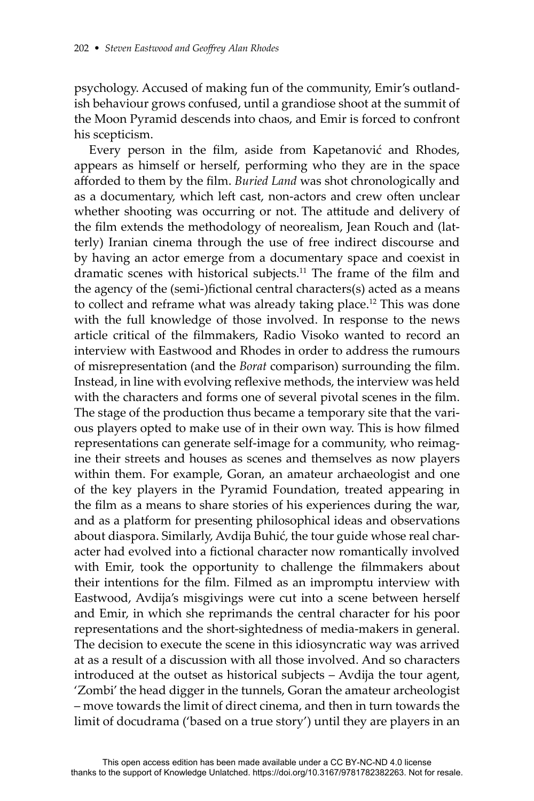psychology. Accused of making fun of the community, Emir's outlandish behaviour grows confused, until a grandiose shoot at the summit of the Moon Pyramid descends into chaos, and Emir is forced to confront his scepticism.

Every person in the film, aside from Kapetanović and Rhodes, appears as himself or herself, performing who they are in the space afforded to them by the film. *Buried Land* was shot chronologically and as a documentary, which left cast, non-actors and crew often unclear whether shooting was occurring or not. The attitude and delivery of the film extends the methodology of neorealism, Jean Rouch and (latterly) Iranian cinema through the use of free indirect discourse and by having an actor emerge from a documentary space and coexist in dramatic scenes with historical subjects.<sup>11</sup> The frame of the film and the agency of the (semi-)fictional central characters(s) acted as a means to collect and reframe what was already taking place.<sup>12</sup> This was done with the full knowledge of those involved. In response to the news article critical of the filmmakers, Radio Visoko wanted to record an interview with Eastwood and Rhodes in order to address the rumours of misrepresentation (and the *Borat* comparison) surrounding the film. Instead, in line with evolving reflexive methods, the interview was held with the characters and forms one of several pivotal scenes in the film. The stage of the production thus became a temporary site that the various players opted to make use of in their own way. This is how filmed representations can generate self-image for a community, who reimagine their streets and houses as scenes and themselves as now players within them. For example, Goran, an amateur archaeologist and one of the key players in the Pyramid Foundation, treated appearing in the film as a means to share stories of his experiences during the war, and as a platform for presenting philosophical ideas and observations about diaspora. Similarly, Avdija Buhić, the tour guide whose real character had evolved into a fictional character now romantically involved with Emir, took the opportunity to challenge the filmmakers about their intentions for the film. Filmed as an impromptu interview with Eastwood, Avdija's misgivings were cut into a scene between herself and Emir, in which she reprimands the central character for his poor representations and the short-sightedness of media-makers in general. The decision to execute the scene in this idiosyncratic way was arrived at as a result of a discussion with all those involved. And so characters introduced at the outset as historical subjects – Avdija the tour agent, 'Zombi' the head digger in the tunnels, Goran the amateur archeologist – move towards the limit of direct cinema, and then in turn towards the limit of docudrama ('based on a true story') until they are players in an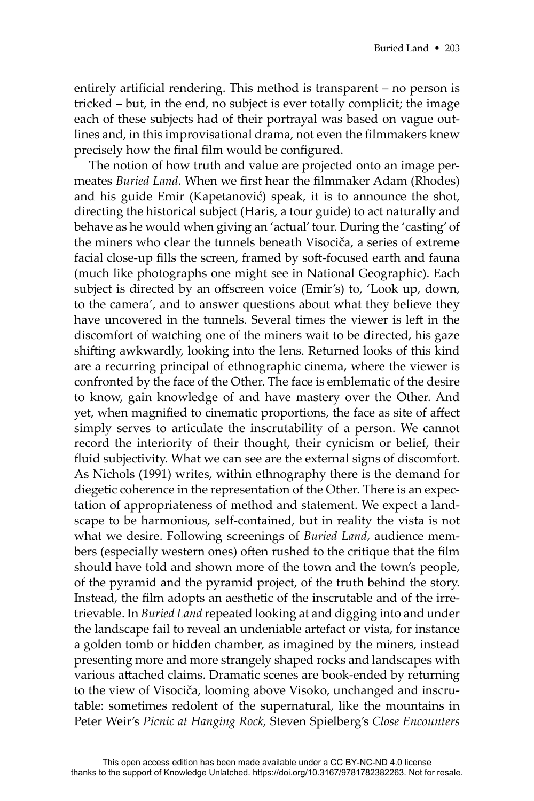entirely artificial rendering. This method is transparent – no person is tricked – but, in the end, no subject is ever totally complicit; the image each of these subjects had of their portrayal was based on vague outlines and, in this improvisational drama, not even the filmmakers knew precisely how the final film would be configured.

The notion of how truth and value are projected onto an image permeates *Buried Land*. When we first hear the filmmaker Adam (Rhodes) and his guide Emir (Kapetanović) speak, it is to announce the shot, directing the historical subject (Haris, a tour guide) to act naturally and behave as he would when giving an 'actual' tour. During the 'casting' of the miners who clear the tunnels beneath Visociča, a series of extreme facial close-up fills the screen, framed by soft-focused earth and fauna (much like photographs one might see in National Geographic). Each subject is directed by an offscreen voice (Emir's) to, 'Look up, down, to the camera', and to answer questions about what they believe they have uncovered in the tunnels. Several times the viewer is left in the discomfort of watching one of the miners wait to be directed, his gaze shifting awkwardly, looking into the lens. Returned looks of this kind are a recurring principal of ethnographic cinema, where the viewer is confronted by the face of the Other. The face is emblematic of the desire to know, gain knowledge of and have mastery over the Other. And yet, when magnified to cinematic proportions, the face as site of affect simply serves to articulate the inscrutability of a person. We cannot record the interiority of their thought, their cynicism or belief, their fluid subjectivity. What we can see are the external signs of discomfort. As Nichols (1991) writes, within ethnography there is the demand for diegetic coherence in the representation of the Other. There is an expectation of appropriateness of method and statement. We expect a landscape to be harmonious, self-contained, but in reality the vista is not what we desire. Following screenings of *Buried Land*, audience members (especially western ones) often rushed to the critique that the film should have told and shown more of the town and the town's people, of the pyramid and the pyramid project, of the truth behind the story. Instead, the film adopts an aesthetic of the inscrutable and of the irretrievable. In *Buried Land* repeated looking at and digging into and under the landscape fail to reveal an undeniable artefact or vista, for instance a golden tomb or hidden chamber, as imagined by the miners, instead presenting more and more strangely shaped rocks and landscapes with various attached claims. Dramatic scenes are book-ended by returning to the view of Visociča, looming above Visoko, unchanged and inscrutable: sometimes redolent of the supernatural, like the mountains in Peter Weir's *Picnic at Hanging Rock,* Steven Spielberg's *Close Encounters*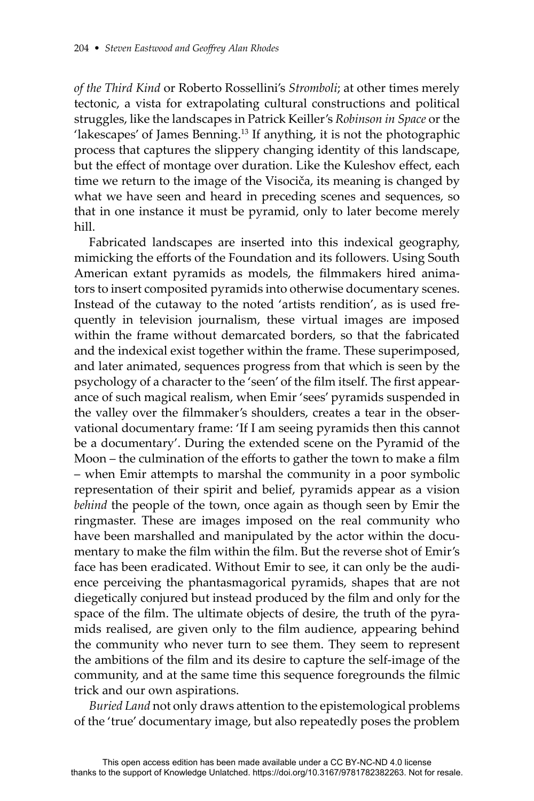*of the Third Kind* or Roberto Rossellini's *Stromboli*; at other times merely tectonic, a vista for extrapolating cultural constructions and political struggles, like the landscapes in Patrick Keiller's *Robinson in Space* or the 'lakescapes' of James Benning.13 If anything, it is not the photographic process that captures the slippery changing identity of this landscape, but the effect of montage over duration. Like the Kuleshov effect, each time we return to the image of the Visociča, its meaning is changed by what we have seen and heard in preceding scenes and sequences, so that in one instance it must be pyramid, only to later become merely hill.

Fabricated landscapes are inserted into this indexical geography, mimicking the efforts of the Foundation and its followers. Using South American extant pyramids as models, the filmmakers hired animators to insert composited pyramids into otherwise documentary scenes. Instead of the cutaway to the noted 'artists rendition', as is used frequently in television journalism, these virtual images are imposed within the frame without demarcated borders, so that the fabricated and the indexical exist together within the frame. These superimposed, and later animated, sequences progress from that which is seen by the psychology of a character to the 'seen' of the film itself. The first appearance of such magical realism, when Emir 'sees' pyramids suspended in the valley over the filmmaker's shoulders, creates a tear in the observational documentary frame: 'If I am seeing pyramids then this cannot be a documentary'. During the extended scene on the Pyramid of the Moon – the culmination of the efforts to gather the town to make a film – when Emir attempts to marshal the community in a poor symbolic representation of their spirit and belief, pyramids appear as a vision *behind* the people of the town, once again as though seen by Emir the ringmaster. These are images imposed on the real community who have been marshalled and manipulated by the actor within the documentary to make the film within the film. But the reverse shot of Emir's face has been eradicated. Without Emir to see, it can only be the audience perceiving the phantasmagorical pyramids, shapes that are not diegetically conjured but instead produced by the film and only for the space of the film. The ultimate objects of desire, the truth of the pyramids realised, are given only to the film audience, appearing behind the community who never turn to see them. They seem to represent the ambitions of the film and its desire to capture the self-image of the community, and at the same time this sequence foregrounds the filmic trick and our own aspirations.

*Buried Land* not only draws attention to the epistemological problems of the 'true' documentary image, but also repeatedly poses the problem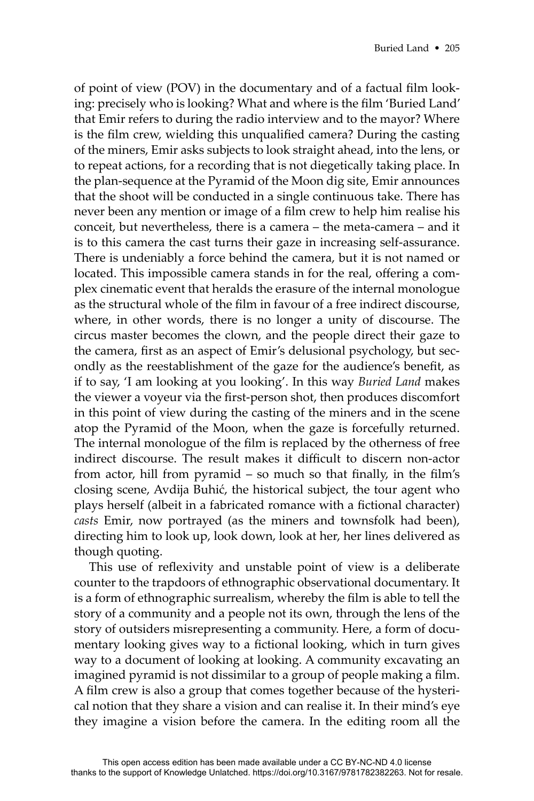of point of view (POV) in the documentary and of a factual film looking: precisely who is looking? What and where is the film 'Buried Land' that Emir refers to during the radio interview and to the mayor? Where is the film crew, wielding this unqualified camera? During the casting of the miners, Emir asks subjects to look straight ahead, into the lens, or to repeat actions, for a recording that is not diegetically taking place. In the plan-sequence at the Pyramid of the Moon dig site, Emir announces that the shoot will be conducted in a single continuous take. There has never been any mention or image of a film crew to help him realise his conceit, but nevertheless, there is a camera – the meta-camera – and it is to this camera the cast turns their gaze in increasing self-assurance. There is undeniably a force behind the camera, but it is not named or located. This impossible camera stands in for the real, offering a complex cinematic event that heralds the erasure of the internal monologue as the structural whole of the film in favour of a free indirect discourse, where, in other words, there is no longer a unity of discourse. The circus master becomes the clown, and the people direct their gaze to the camera, first as an aspect of Emir's delusional psychology, but secondly as the reestablishment of the gaze for the audience's benefit, as if to say, 'I am looking at you looking'. In this way *Buried Land* makes the viewer a voyeur via the first-person shot, then produces discomfort in this point of view during the casting of the miners and in the scene atop the Pyramid of the Moon, when the gaze is forcefully returned. The internal monologue of the film is replaced by the otherness of free indirect discourse. The result makes it difficult to discern non-actor from actor, hill from pyramid – so much so that finally, in the film's closing scene, Avdija Buhić, the historical subject, the tour agent who plays herself (albeit in a fabricated romance with a fictional character) *casts* Emir, now portrayed (as the miners and townsfolk had been), directing him to look up, look down, look at her, her lines delivered as though quoting.

This use of reflexivity and unstable point of view is a deliberate counter to the trapdoors of ethnographic observational documentary. It is a form of ethnographic surrealism, whereby the film is able to tell the story of a community and a people not its own, through the lens of the story of outsiders misrepresenting a community. Here, a form of documentary looking gives way to a fictional looking, which in turn gives way to a document of looking at looking. A community excavating an imagined pyramid is not dissimilar to a group of people making a film. A film crew is also a group that comes together because of the hysterical notion that they share a vision and can realise it. In their mind's eye they imagine a vision before the camera. In the editing room all the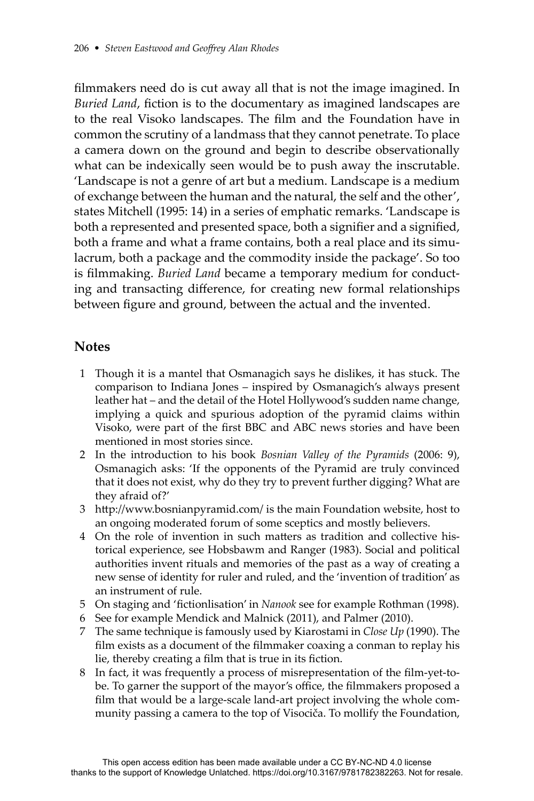filmmakers need do is cut away all that is not the image imagined. In *Buried Land*, fiction is to the documentary as imagined landscapes are to the real Visoko landscapes. The film and the Foundation have in common the scrutiny of a landmass that they cannot penetrate. To place a camera down on the ground and begin to describe observationally what can be indexically seen would be to push away the inscrutable. 'Landscape is not a genre of art but a medium. Landscape is a medium of exchange between the human and the natural, the self and the other', states Mitchell (1995: 14) in a series of emphatic remarks. 'Landscape is both a represented and presented space, both a signifier and a signified, both a frame and what a frame contains, both a real place and its simulacrum, both a package and the commodity inside the package'. So too is filmmaking. *Buried Land* became a temporary medium for conducting and transacting difference, for creating new formal relationships between figure and ground, between the actual and the invented.

## **Notes**

- 1 Though it is a mantel that Osmanagich says he dislikes, it has stuck. The comparison to Indiana Jones – inspired by Osmanagich's always present leather hat – and the detail of the Hotel Hollywood's sudden name change, implying a quick and spurious adoption of the pyramid claims within Visoko, were part of the first BBC and ABC news stories and have been mentioned in most stories since.
- 2 In the introduction to his book *Bosnian Valley of the Pyramids* (2006: 9), Osmanagich asks: 'If the opponents of the Pyramid are truly convinced that it does not exist, why do they try to prevent further digging? What are they afraid of?'
- 3 http://www.bosnianpyramid.com/ is the main Foundation website, host to an ongoing moderated forum of some sceptics and mostly believers.
- 4 On the role of invention in such matters as tradition and collective historical experience, see Hobsbawm and Ranger (1983). Social and political authorities invent rituals and memories of the past as a way of creating a new sense of identity for ruler and ruled, and the 'invention of tradition' as an instrument of rule.
- 5 On staging and 'fictionlisation' in *Nanook* see for example Rothman (1998).
- 6 See for example Mendick and Malnick (2011), and Palmer (2010).
- 7 The same technique is famously used by Kiarostami in *Close Up* (1990). The film exists as a document of the filmmaker coaxing a conman to replay his lie, thereby creating a film that is true in its fiction.
- 8 In fact, it was frequently a process of misrepresentation of the film-yet-tobe. To garner the support of the mayor's office, the filmmakers proposed a film that would be a large-scale land-art project involving the whole community passing a camera to the top of Visociča. To mollify the Foundation,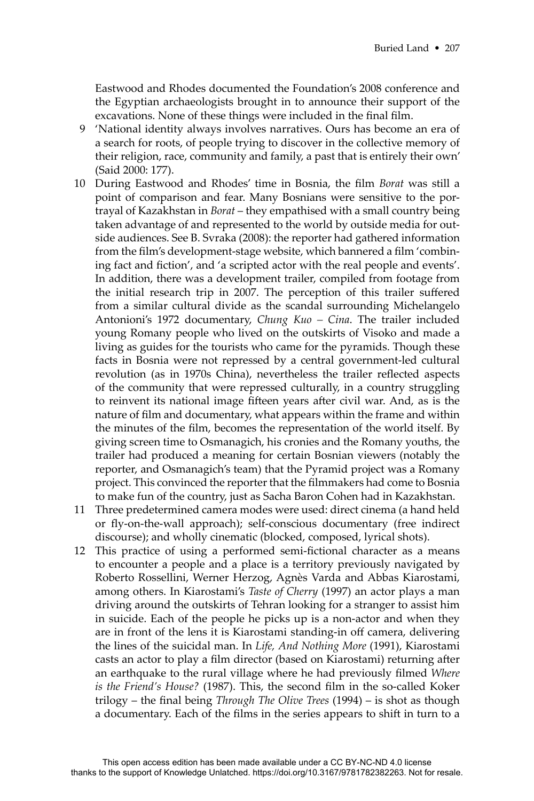Eastwood and Rhodes documented the Foundation's 2008 conference and the Egyptian archaeologists brought in to announce their support of the excavations. None of these things were included in the final film.

- 9 'National identity always involves narratives. Ours has become an era of a search for roots, of people trying to discover in the collective memory of their religion, race, community and family, a past that is entirely their own' (Said 2000: 177).
- 10 During Eastwood and Rhodes' time in Bosnia, the film *Borat* was still a point of comparison and fear. Many Bosnians were sensitive to the portrayal of Kazakhstan in *Borat* – they empathised with a small country being taken advantage of and represented to the world by outside media for outside audiences. See B. Svraka (2008): the reporter had gathered information from the film's development-stage website, which bannered a film 'combining fact and fiction', and 'a scripted actor with the real people and events'. In addition, there was a development trailer, compiled from footage from the initial research trip in 2007. The perception of this trailer suffered from a similar cultural divide as the scandal surrounding Michelangelo Antonioni's 1972 documentary, *Chung Kuo – Cina*. The trailer included young Romany people who lived on the outskirts of Visoko and made a living as guides for the tourists who came for the pyramids. Though these facts in Bosnia were not repressed by a central government-led cultural revolution (as in 1970s China), nevertheless the trailer reflected aspects of the community that were repressed culturally, in a country struggling to reinvent its national image fifteen years after civil war. And, as is the nature of film and documentary, what appears within the frame and within the minutes of the film, becomes the representation of the world itself. By giving screen time to Osmanagich, his cronies and the Romany youths, the trailer had produced a meaning for certain Bosnian viewers (notably the reporter, and Osmanagich's team) that the Pyramid project was a Romany project. This convinced the reporter that the filmmakers had come to Bosnia to make fun of the country, just as Sacha Baron Cohen had in Kazakhstan.
- 11 Three predetermined camera modes were used: direct cinema (a hand held or fly-on-the-wall approach); self-conscious documentary (free indirect discourse); and wholly cinematic (blocked, composed, lyrical shots).
- 12 This practice of using a performed semi-fictional character as a means to encounter a people and a place is a territory previously navigated by Roberto Rossellini, Werner Herzog, Agnès Varda and Abbas Kiarostami, among others. In Kiarostami's *Taste of Cherry* (1997) an actor plays a man driving around the outskirts of Tehran looking for a stranger to assist him in suicide. Each of the people he picks up is a non-actor and when they are in front of the lens it is Kiarostami standing-in off camera, delivering the lines of the suicidal man. In *Life, And Nothing More* (1991), Kiarostami casts an actor to play a film director (based on Kiarostami) returning after an earthquake to the rural village where he had previously filmed *Where is the Friend's House?* (1987). This, the second film in the so-called Koker trilogy – the final being *Through The Olive Trees* (1994) – is shot as though a documentary. Each of the films in the series appears to shift in turn to a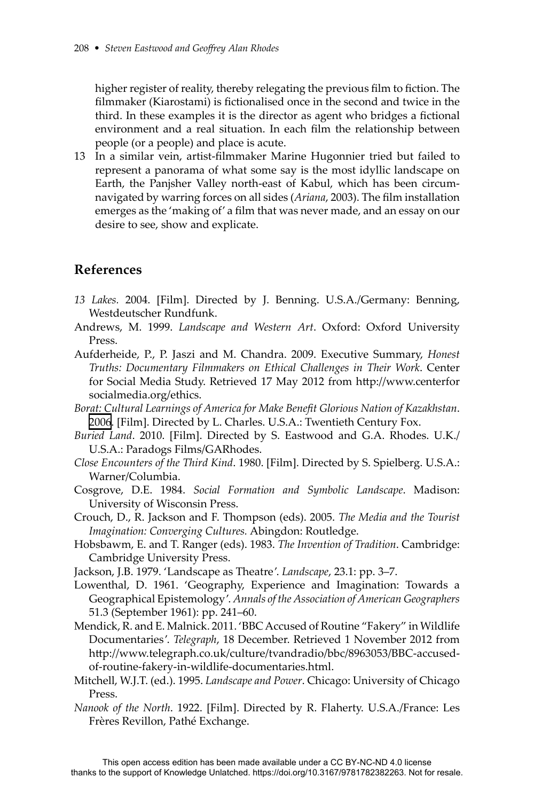higher register of reality, thereby relegating the previous film to fiction. The filmmaker (Kiarostami) is fictionalised once in the second and twice in the third. In these examples it is the director as agent who bridges a fictional environment and a real situation. In each film the relationship between people (or a people) and place is acute.

13 In a similar vein, artist-filmmaker Marine Hugonnier tried but failed to represent a panorama of what some say is the most idyllic landscape on Earth, the Panjsher Valley north-east of Kabul, which has been circumnavigated by warring forces on all sides (*Ariana*, 2003). The film installation emerges as the 'making of' a film that was never made, and an essay on our desire to see, show and explicate.

## **References**

- *13 Lakes.* 2004. [Film]. Directed by J. Benning. U.S.A./Germany: Benning, Westdeutscher Rundfunk.
- Andrews, M. 1999. *Landscape and Western Art*. Oxford: Oxford University Press.
- Aufderheide, P., P. Jaszi and M. Chandra. 2009. Executive Summary, *Honest Truths: Documentary Filmmakers on Ethical Challenges in Their Work*. Center for Social Media Study. Retrieved 17 May 2012 from http://www.centerfor socialmedia.org/ethics.
- *Borat: Cultural Learnings of America for Make Benefit Glorious Nation of Kazakhstan*. [2006](http://www.imdb.com/year/2006/?ref_=tt_ov_inf). [Film]. Directed by L. Charles. U.S.A.: Twentieth Century Fox.
- *Buried Land*. 2010. [Film]. Directed by S. Eastwood and G.A. Rhodes. U.K./ U.S.A.: Paradogs Films/GARhodes.
- *Close Encounters of the Third Kind*. 1980. [Film]. Directed by S. Spielberg. U.S.A.: Warner/Columbia.
- Cosgrove, D.E. 1984. *Social Formation and Symbolic Landscape*. Madison: University of Wisconsin Press.
- Crouch, D., R. Jackson and F. Thompson (eds). 2005. *The Media and the Tourist Imagination: Converging Cultures.* Abingdon: Routledge.
- Hobsbawm, E. and T. Ranger (eds). 1983. *The Invention of Tradition*. Cambridge: Cambridge University Press.
- Jackson, J.B. 1979. 'Landscape as Theatre'. *Landscape*, 23.1: pp. 3–7.
- Lowenthal, D. 1961. 'Geography, Experience and Imagination: Towards a Geographical Epistemology'. *Annals of the Association of American Geographers* 51.3 (September 1961): pp. 241–60.
- Mendick, R. and E. Malnick. 2011. 'BBC Accused of Routine "Fakery" in Wildlife Documentaries'. *Telegraph*, 18 December. Retrieved 1 November 2012 from http://www.telegraph.co.uk/culture/tvandradio/bbc/8963053/BBC-accusedof-routine-fakery-in-wildlife-documentaries.html.
- Mitchell, W.J.T. (ed.). 1995. *Landscape and Power*. Chicago: University of Chicago Press.
- *Nanook of the North*. 1922. [Film]. Directed by R. Flaherty. U.S.A./France: Les Frères Revillon, Pathé Exchange.